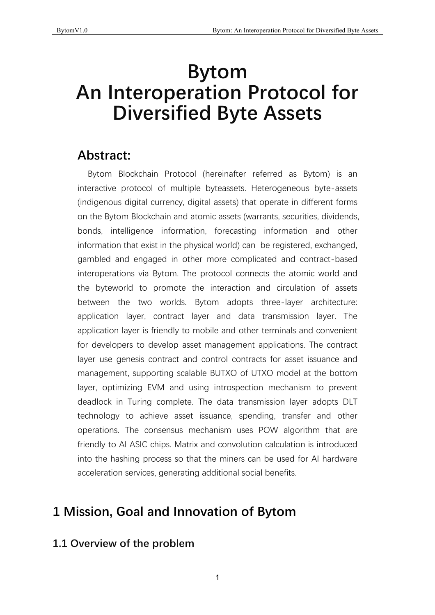# **Bytom An Interoperation Protocol for Diversified Byte Assets**

# **Abstract:**

Bytom Blockchain Protocol (hereinafter referred as Bytom) is an interactive protocol of multiple byteassets. Heterogeneous byte-assets (indigenous digital currency, digital assets) that operate in different forms on the Bytom Blockchain and atomic assets (warrants, securities, dividends, bonds, intelligence information, forecasting information and other information that exist in the physical world) can be registered, exchanged, gambled and engaged in other more complicated and contract-based interoperations via Bytom. The protocol connects the atomic world and the byteworld to promote the interaction and circulation of assets between the two worlds. Bytom adopts three-layer architecture: application layer, contract layer and data transmission layer. The application layer is friendly to mobile and other terminals and convenient for developers to develop asset management applications. The contract layer use genesis contract and control contracts for asset issuance and management, supporting scalable BUTXO of UTXO model at the bottom layer, optimizing EVM and using introspection mechanism to prevent deadlock in Turing complete. The data transmission layer adopts DLT technology to achieve asset issuance, spending, transfer and other operations. The consensus mechanism uses POW algorithm that are friendly to AI ASIC chips. Matrix and convolution calculation is introduced into the hashing process so that the miners can be used for AI hardware acceleration services, generating additional social benefits.

# **1 Mission, Goal and Innovation of Bytom**

# **1.1 Overview of the problem**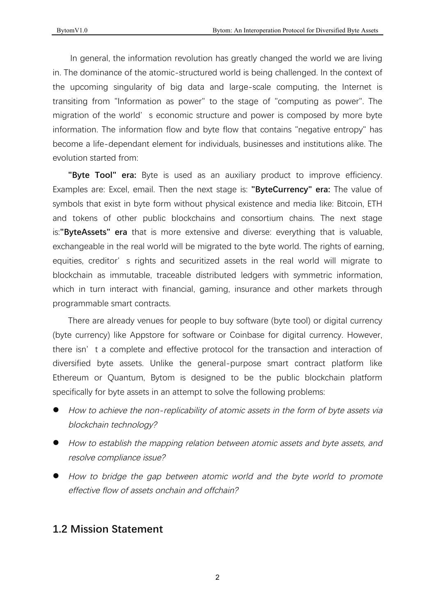In general, the information revolution has greatly changed the world we are living in. The dominance of the atomic-structured world is being challenged. In the context of the upcoming singularity of big data and large-scale computing, the Internet is transiting from "Information as power" to the stage of "computing as power". The migration of the world' s economic structure and power is composed by more byte information. The information flow and byte flow that contains "negative entropy" has become a life-dependant element for individuals, businesses and institutions alike. The evolution started from:

"Byte Tool" era: Byte is used as an auxiliary product to improve efficiency. Examples are: Excel, email. Then the next stage is: "**ByteCurrency" era:** The value of symbols that exist in byte form without physical existence and media like: Bitcoin, ETH and tokens of other public blockchains and consortium chains. The next stage is:"ByteAssets" era that is more extensive and diverse: everything that is valuable, exchangeable in the real world will be migrated to the byte world. The rights of earning, equities, creditor' s rights and securitized assets in the real world will migrate to blockchain as immutable, traceable distributed ledgers with symmetric information, which in turn interact with financial, gaming, insurance and other markets through programmable smart contracts.

There are already venues for people to buy software (byte tool) or digital currency (byte currency) like Appstore for software or Coinbase for digital currency. However, there isn't a complete and effective protocol for the transaction and interaction of diversified byte assets. Unlike the general-purpose smart contract platform like Ethereum or Quantum, Bytom is designed to be the public blockchain platform specifically for byte assets in an attempt to solve the following problems:

- How to achieve the non-replicability of atomic assets in the form of byte assets via blockchain technology?
- $\bullet$  How to establish the mapping relation between atomic assets and byte assets, and resolve compliance issue?
- How to bridge the gap between atomic world and the byte world to promote effective flow of assets onchain and offchain?

# **1.2 Mission Statement**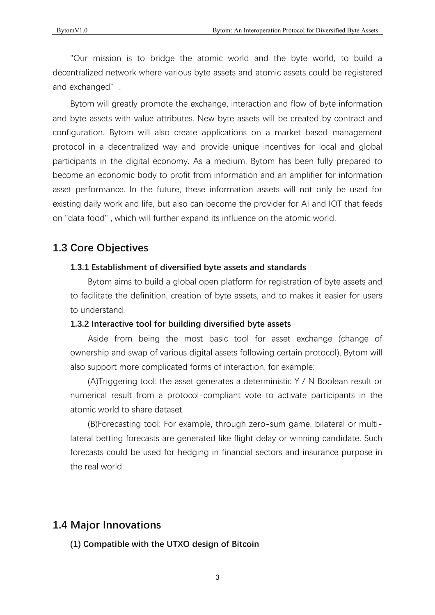"Our mission is to bridge the atomic world and the byte world, to build a decentralized network where various byte assets and atomic assets could be registered and exchanged".

Bytom will greatly promote the exchange, interaction and flow of byte information and byte assets with value attributes. New byte assets will be created by contract and configuration. Bytom will also create applications on a market-based management protocol in a decentralized way and provide unique incentives for local and global participants in the digital economy. As a medium, Bytom has been fully prepared to become an economic body to profit from information and an amplifier for information asset performance. In the future, these information assets will not only be used for existing daily work and life, but also can become the provider for AI and IOT that feeds on "data food", which will further expand its influence on the atomic world.

# **1.3 Core Objectives**

### **1.3.1 Establishment of diversified byte assets and standards**

Bytom aims to build a global open platform for registration of byte assets and to facilitate the definition, creation of byte assets, and to makes it easier for users to understand.

### **1.3.2 Interactive tool for building diversified byte assets**

Aside from being the most basic tool for asset exchange (change of ownership and swap of various digital assets following certain protocol), Bytom will also support more complicated forms of interaction, for example:

(A)Triggering tool: the asset generates a deterministic  $Y / N$  Boolean result or numerical result from a protocol-compliant vote to activate participants in the atomic world to share dataset.

(B)Forecasting tool: For example, through zero-sum game, bilateral or multilateral betting forecasts are generated like flight delay or winning candidate. Such forecasts could be used for hedging in financial sectors and insurance purpose in the real world.

# **1.4 Major Innovations**

**(1) Compatible with the UTXO design of Bitcoin**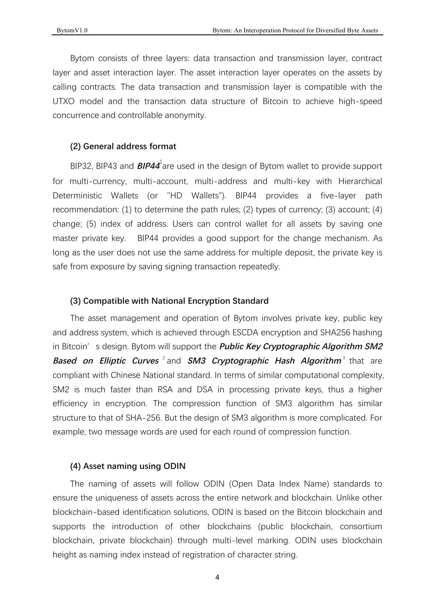Bytom consists of three layers: data transaction and transmission layer, contract layer and asset interaction layer. The asset interaction layer operates on the assets by calling contracts. The data transaction and transmission layer is compatible with the UTXO model and the transaction data structure of Bitcoin to achieve high-speed concurrence and controllable anonymity.

#### **(2) General address format**

BIP32, BIP43 and *BIP44*<sup>1</sup>are used in the design of Bytom wallet to provide support for multi-currency, multi-account, multi-address and multi-key with Hierarchical Deterministic Wallets (or "HD Wallets"). BIP44 provides a five-layer path recommendation: (1) to determine the path rules; (2) types of currency; (3) account; (4) change; (5) index of address. Users can control wallet for all assets by saving one master private key. BIP44 provides a good support for the change mechanism. As long as the user does not use the same address for multiple deposit, the private key is safe from exposure by saving signing transaction repeatedly.

#### **(3) Compatible with National Encryption Standard**

The asset management and operation of Bytom involves private key, public key and address system, which is achieved through ESCDA encryption and SHA256 hashing in Bitcoin's design. Bytom will support the **Public Key Cryptographic Algorithm SM2** *Based on Elliptic Curves* $^2$  **and** *SM3 Cryptographic Hash Algorithm* $^3$  **that are** compliant with Chinese National standard. In terms of similar computational complexity, SM2 is much faster than RSA and DSA in processing private keys, thus a higher efficiency in encryption. The compression function of SM3 algorithm has similar structure to that of SHA-256. But the design of SM3 algorithm is more complicated. For example, two message words are used for each round of compression function.

#### **(4) Asset naming using ODIN**

The naming of assets will follow ODIN (Open Data Index Name) standards to ensure the uniqueness of assets across the entire network and blockchain. Unlike other blockchain-based identification solutions, ODIN is based on the Bitcoin blockchain and supports the introduction of other blockchains (public blockchain, consortium blockchain, private blockchain) through multi-level marking. ODIN uses blockchain height as naming index instead of registration of character string.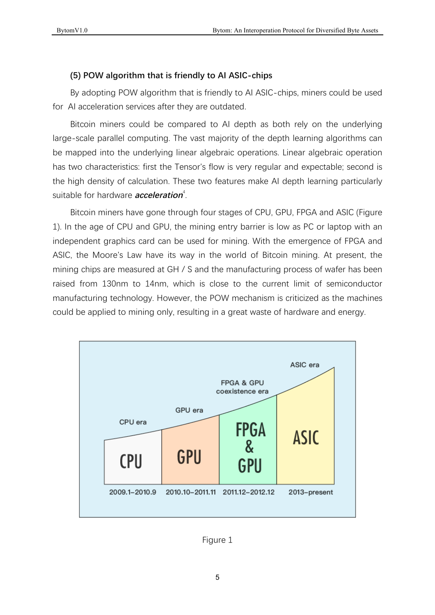### **(5) POW algorithm that is friendly to AI ASIC-chips**

By adopting POW algorithm that is friendly to AI ASIC-chips, miners could be used for AI acceleration services after they are outdated.

Bitcoin miners could be compared to AI depth as both rely on the underlying large-scale parallel computing. The vast majority of the depth learning algorithms can be mapped into the underlying linear algebraic operations. Linear algebraic operation has two characteristics: first the Tensor's flow is very regular and expectable; second is the high density of calculation. These two features make AI depth learning particularly suitable for hardware *acceleration*<sup>4</sup>.

Bitcoin miners have gone through four stages of CPU, GPU, FPGA and ASIC (Figure 1). In the age of CPU and GPU, the mining entry barrier is low as PC or laptop with an independent graphics card can be used for mining. With the emergence of FPGA and ASIC, the Moore's Law have its way in the world of Bitcoin mining. At present, the mining chips are measured at GH / S and the manufacturing process of wafer has been raised from 130nm to 14nm, which is close to the current limit of semiconductor manufacturing technology. However, the POW mechanism is criticized as the machines could be applied to mining only, resulting in a great waste of hardware and energy.



Figure 1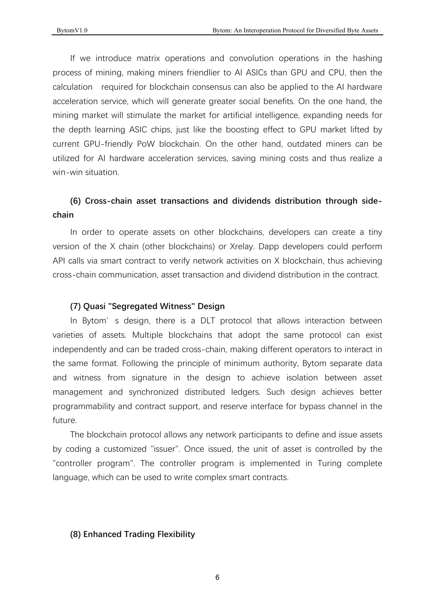If we introduce matrix operations and convolution operations in the hashing process of mining, making miners friendlier to AI ASICs than GPU and CPU, then the calculation required for blockchain consensus can also be applied to the AI hardware acceleration service, which will generate greater social benefits. On the one hand, the mining market will stimulate the market for artificial intelligence, expanding needs for the depth learning ASIC chips, just like the boosting effect to GPU market lifted by current GPU-friendly PoW blockchain. On the other hand, outdated miners can be utilized for AI hardware acceleration services, saving mining costs and thus realize a win-win situation.

### **(6) Cross-chain asset transactions and dividends distribution through sidechain**

In order to operate assets on other blockchains, developers can create a tiny version of the X chain (other blockchains) or Xrelay. Dapp developers could perform API calls via smart contract to verify network activities on X blockchain, thus achieving cross-chain communication, asset transaction and dividend distribution in the contract.

#### **(7) Quasi "Segregated Witness" Design**

In Bytom' s design, there is a DLT protocol that allows interaction between varieties of assets. Multiple blockchains that adopt the same protocol can exist independently and can be traded cross-chain, making different operators to interact in the same format. Following the principle of minimum authority, Bytom separate data and witness from signature in the design to achieve isolation between asset management and synchronized distributed ledgers. Such design achieves better programmability and contract support, and reserve interface for bypass channel in the future.

The blockchain protocol allows any network participants to define and issue assets by coding a customized "issuer". Once issued, the unit of asset is controlled by the "controller program". The controller program is implemented in Turing complete language, which can be used to write complex smart contracts.

### **(8) Enhanced Trading Flexibility**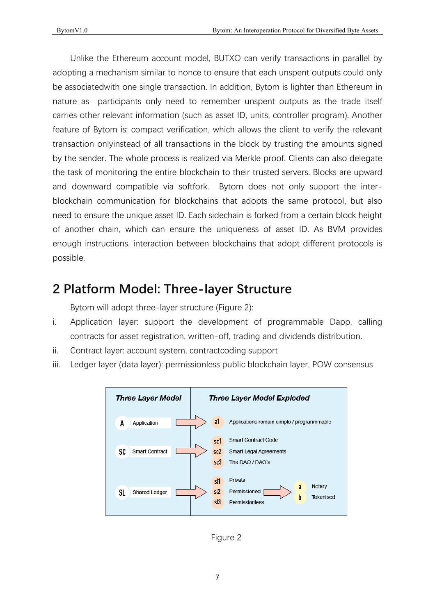Unlike the Ethereum account model, BUTXO can verify transactions in parallel by adopting a mechanism similar to nonce to ensure that each unspent outputs could only be associated with one single transaction. In addition, Bytom is lighter than Ethereum in nature as participants only need to remember unspent outputs as the trade itself carries other relevant information (such as asset ID, units, controller program). Another feature of Bytom is: compact verification, which allows the client to verify the relevant transaction onlyinstead of all transactions in the block by trusting the amounts signed by the sender. The whole process is realized via Merkle proof. Clients can also delegate the task of monitoring the entire blockchain to their trusted servers. Blocks are upward and downward compatible via softfork. Bytom does not only support the interblockchain communication for blockchains that adopts the same protocol, but also heed to ensure the unique asset ID. Each sidechain is forked from a certain block height of another chain, which can ensure the uniqueness of asset ID. As BVM provides enough instructions, interaction between blockchains that adopt different protocols is possible.

# **2 Platform Model: Three-layer Structure**

Bytom will adopt three-layer structure (Figure 2):

- i. Application layer: support the development of programmable Dapp, calling contracts for asset registration, written-off, trading and dividends distribution.
- ii. Contract layer: account system, contract coding support
- iii. Ledger layer (data layer): permissionless public blockchain layer, POW consensus



Figure 2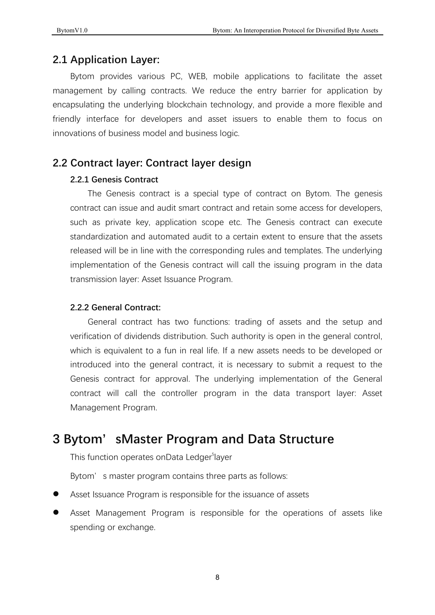# **2.1 Application Layer:**

Bytom provides various PC, WEB, mobile applications to facilitate the asset management by calling contracts. We reduce the entry barrier for application by encapsulating the underlying blockchain technology, and provide a more flexible and friendly interface for developers and asset issuers to enable them to focus on innovations of business model and business logic.

# **2.2 Contract layer: Contract layer design**

### **2.2.1 Genesis Contract**

The Genesis contract is a special type of contract on Bytom. The genesis contract can issue and audit smart contract and retain some access for developers, such as private key, application scope etc. The Genesis contract can execute standardization and automated audit to a certain extent to ensure that the assets released will be in line with the corresponding rules and templates. The underlying implementation of the Genesis contract will call the issuing program in the data transmission layer: Asset Issuance Program.

### **2.2.2 General Contract:**

General contract has two functions: trading of assets and the setup and verification of dividends distribution. Such authority is open in the general control, which is equivalent to a fun in real life. If a new assets needs to be developed or introduced into the general contract, it is necessary to submit a request to the Genesis contract for approval. The underlying implementation of the General contract will call the controller program in the data transport layer: Asset Management Program.

# **3 Bytom'sMaster Program and Data Structure**

This function operates onData Ledger<sup>5</sup>layer

Bytom' s master program contains three parts as follows:

- Asset Issuance Program is responsible for the issuance of assets
- Asset Management Program is responsible for the operations of assets like spending or exchange.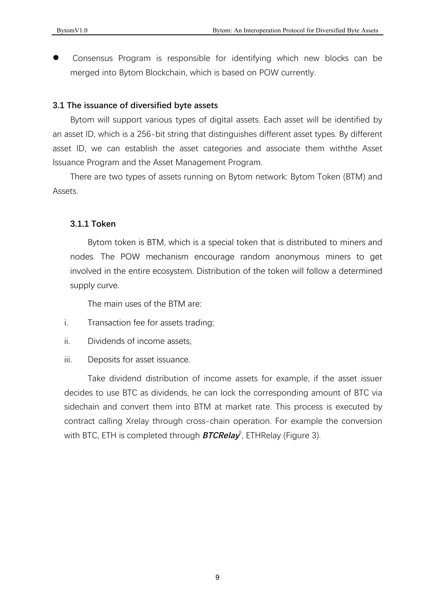Consensus Program is responsible for identifying which new blocks can be merged into Bytom Blockchain, which is based on POW currently.

### **3.1 The issuance of diversified byte assets**

Bytom will support various types of digital assets. Each asset will be identified by an asset ID, which is a 256-bit string that distinguishes different asset types. By different asset ID, we can establish the asset categories and associate them withthe Asset Issuance Program and the Asset Management Program.

There are two types of assets running on Bytom network: Bytom Token (BTM) and Assets.

### **3.1.1 Token**

Bytom token is BTM, which is a special token that is distributed to miners and nodes. The POW mechanism encourage random anonymous miners to get involved in the entire ecosystem. Distribution of the token will follow a determined supply curve.

The main uses of the BTM are:

- i. Transaction fee for assets trading;
- ii. Dividends of income assets;
- iii. Deposits for asset issuance.

Take dividend distribution of income assets for example, if the asset issuer decides to use BTC as dividends, he can lock the corresponding amount of BTC via sidechain and convert them into BTM at market rate. This process is executed by contract calling Xrelay through cross-chain operation. For example the conversion with BTC, ETH is completed through *BTCRelay*<sup>6</sup>, ETHRelay (Figure 3).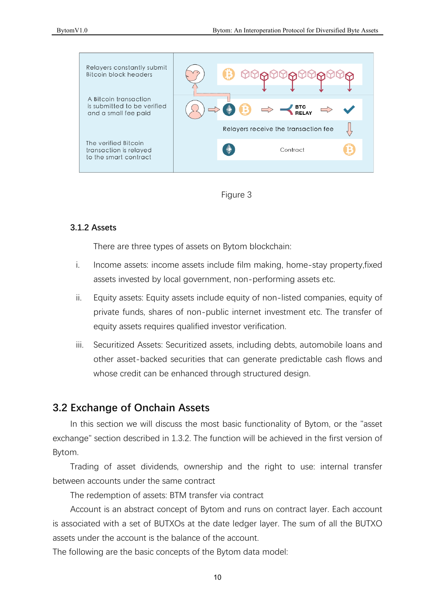



### **3.1.2 Assets**

There are three types of assets on Bytom blockchain:

- i. Income assets: income assets include film making, home-stay property, fixed assets invested by local government, non-performing assets etc.
- ii. Equity assets: Equity assets include equity of non-listed companies, equity of private funds, shares of non-public internet investment etc. The transfer of equity assets requires qualified investor verification.
- iii. Securitized Assets: Securitized assets, including debts, automobile loans and other asset-backed securities that can generate predictable cash flows and whose credit can be enhanced through structured design.

# **3.2 Exchange of Onchain Assets**

In this section we will discuss the most basic functionality of Bytom, or the "asset" exchange" section described in 1.3.2. The function will be achieved in the first version of Bytom.

Trading of asset dividends, ownership and the right to use: internal transfer between accounts under the same contract

The redemption of assets: BTM transfer via contract

Account is an abstract concept of Bytom and runs on contract layer. Each account is associated with a set of BUTXOs at the date ledger layer. The sum of all the BUTXO assets under the account is the balance of the account.

The following are the basic concepts of the Bytom data model: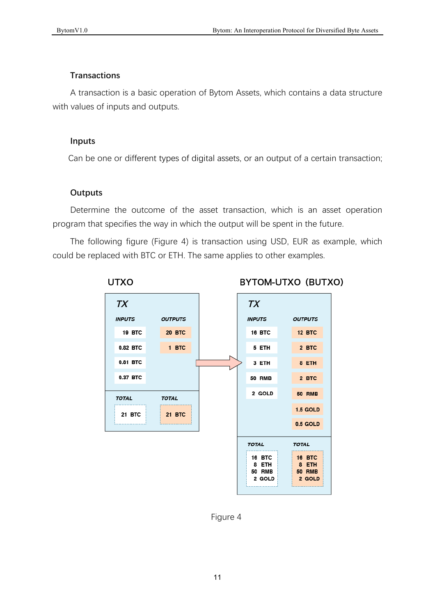### **Transactions**

A transaction is a basic operation of Bytom Assets, which contains a data structure with values of inputs and outputs.

### **Inputs**

Can be one or different types of digital assets, or an output of a certain transaction;

### **Outputs**

Determine the outcome of the asset transaction, which is an asset operation program that specifies the way in which the output will be spent in the future.

The following figure (Figure 4) is transaction using USD, EUR as example, which could be replaced with BTC or ETH. The same applies to other examples.



Figure 4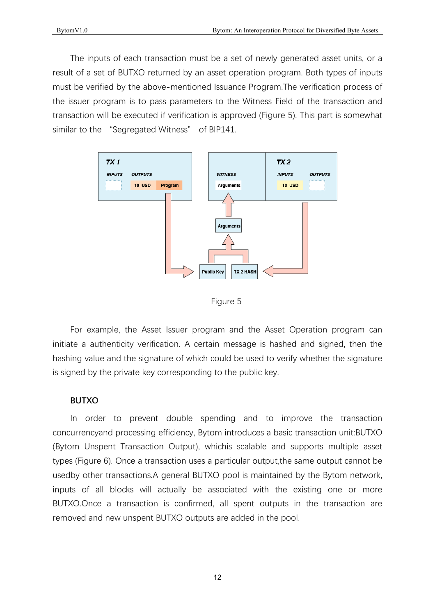The inputs of each transaction must be a set of newly generated asset units, or a result of a set of BUTXO returned by an asset operation program. Both types of inputs must be verified by the above-mentioned Issuance Program. The verification process of the issuer program is to pass parameters to the Witness Field of the transaction and transaction will be executed if verification is approved (Figure 5). This part is somewhat similar to the "Segregated Witness" of BIP141.





For example, the Asset Issuer program and the Asset Operation program can initiate a authenticity verification. A certain message is hashed and signed, then the hashing value and the signature of which could be used to verify whether the signature is signed by the private key corresponding to the public key.

#### **BUTXO**

In order to prevent double spending and to improve the transaction concurrencyand processing efficiency. Bytom introduces a basic transaction unit:BUTXO (Bytom Unspent Transaction Output), whichis scalable and supports multiple asset types (Figure 6). Once a transaction uses a particular output, the same output cannot be usedby other transactions.A general BUTXO pool is maintained by the Bytom network, inputs of all blocks will actually be associated with the existing one or more BUTXO.Once a transaction is confirmed, all spent outputs in the transaction are removed and new unspent BUTXO outputs are added in the pool.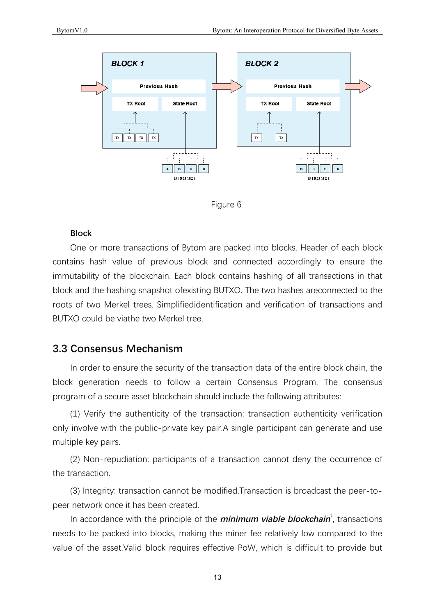



### **Block**

One or more transactions of Bytom are packed into blocks. Header of each block contains hash value of previous block and connected accordingly to ensure the immutability of the blockchain. Each block contains hashing of all transactions in that block and the hashing snapshot ofexisting BUTXO. The two hashes areconnected to the roots of two Merkel trees. Simplifiedidentification and verification of transactions and BUTXO could be viathe two Merkel tree.

# **3.3 Consensus Mechanism**

In order to ensure the security of the transaction data of the entire block chain, the block generation needs to follow a certain Consensus Program. The consensus program of a secure asset blockchain should include the following attributes:

(1) Verify the authenticity of the transaction: transaction authenticity verification only involve with the public-private key pair.A single participant can generate and use multiple key pairs.

(2) Non-repudiation: participants of a transaction cannot deny the occurrence of the transaction.

(3) Integrity: transaction cannot be modified.Transaction is broadcast the peer-topeer network once it has been created.

In accordance with the principle of the *minimum viable blockchain*<sup>7</sup>, transactions needs to be packed into blocks, making the miner fee relatively low compared to the value of the asset.Valid block requires effective PoW, which is difficult to provide but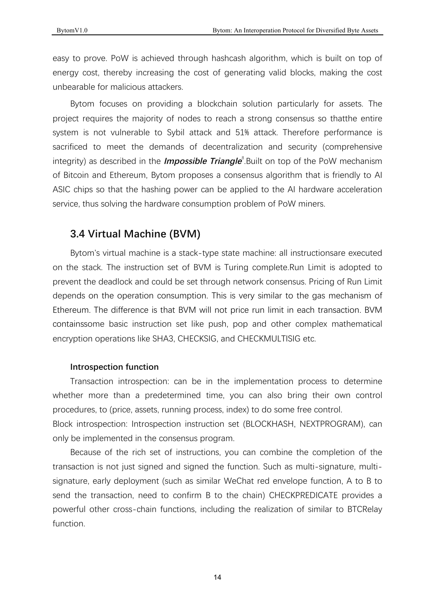easy to prove. PoW is achieved through hashcash algorithm, which is built on top of energy cost, thereby increasing the cost of generating valid blocks, making the cost unbearable for malicious attackers

Bytom focuses on providing a blockchain solution particularly for assets. The project requires the majority of nodes to reach a strong consensus so that the entire system is not vulnerable to Sybil attack and 51% attack. Therefore performance is sacrificed to meet the demands of decentralization and security (comprehensive integrity) as described in the *Impossible Triangle*<sup>8</sup>.Built on top of the PoW mechanism of Bitcoin and Ethereum, Bytom proposes a consensus algorithm that is friendly to AI ASIC chips so that the hashing power can be applied to the AI hardware acceleration service, thus solving the hardware consumption problem of PoW miners.

### **3.4 Virtual Machine (BVM)**

Bytom's virtual machine is a stack-type state machine: all instructionsare executed on the stack. The instruction set of BVM is Turing complete. Run Limit is adopted to prevent the deadlock and could be set through network consensus. Pricing of Run Limit depends on the operation consumption. This is very similar to the gas mechanism of Ethereum. The difference is that BVM will not price run limit in each transaction. BVM containssome basic instruction set like push, pop and other complex mathematical encryption operations like SHA3, CHECKSIG, and CHECKMULTISIG etc.

#### **Introspection function**

Transaction introspection: can be in the implementation process to determine whether more than a predetermined time, you can also bring their own control procedures, to (price, assets, running process, index) to do some free control. Block introspection: Introspection instruction set (BLOCKHASH, NEXTPROGRAM), can only be implemented in the consensus program.

Because of the rich set of instructions, you can combine the completion of the transaction is not just signed and signed the function. Such as multi-signature, multisignature, early deployment (such as similar WeChat red envelope function, A to B to send the transaction, need to confirm B to the chain) CHECKPREDICATE provides a powerful other cross-chain functions, including the realization of similar to BTCRelay function.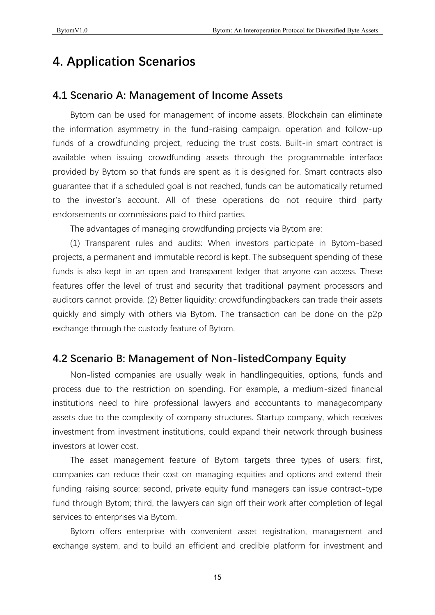# **4. Application Scenarios**

## **4.1 Scenario A: Management of Income Assets**

Bytom can be used for management of income assets. Blockchain can eliminate the information asymmetry in the fund-raising campaign, operation and follow-up funds of a crowdfunding project, reducing the trust costs. Built-in smart contract is available when issuing crowdfunding assets through the programmable interface provided by Bytom so that funds are spent as it is designed for. Smart contracts also guarantee that if a scheduled goal is not reached, funds can be automatically returned to the investor's account. All of these operations do not require third party endorsements or commissions paid to third parties.

The advantages of managing crowdfunding projects via Bytom are:

(1) Transparent rules and audits: When investors participate in Bytom-based projects, a permanent and immutable record is kept. The subsequent spending of these funds is also kept in an open and transparent ledger that anyone can access. These features offer the level of trust and security that traditional payment processors and auditors cannot provide. (2) Better liquidity: crowdfundingbackers can trade their assets guickly and simply with others via Bytom. The transaction can be done on the p2p exchange through the custody feature of Bytom.

### **4.2 Scenario B: Management of Non-listedCompany Equity**

Non-listed companies are usually weak in handlingequities, options, funds and process due to the restriction on spending. For example, a medium-sized financial institutions need to hire professional lawyers and accountants to managecompany assets due to the complexity of company structures. Startup company, which receives investment from investment institutions, could expand their network through business investors at lower cost.

The asset management feature of Bytom targets three types of users: first, companies can reduce their cost on managing equities and options and extend their funding raising source; second, private equity fund managers can issue contract-type fund through Bytom; third, the lawyers can sign off their work after completion of legal services to enterprises via Bytom.

Bytom offers enterprise with convenient asset registration, management and exchange system, and to build an efficient and credible platform for investment and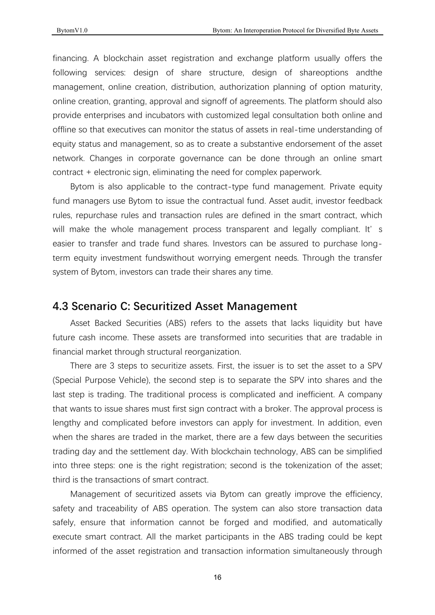financing. A blockchain asset registration and exchange platform usually offers the following services: design of share structure, design of shareoptions andthe management, online creation, distribution, authorization planning of option maturity, online creation, granting, approval and signoff of agreements. The platform should also provide enterprises and incubators with customized legal consultation both online and offline so that executives can monitor the status of assets in real-time understanding of equity status and management, so as to create a substantive endorsement of the asset network. Changes in corporate governance can be done through an online smart contract + electronic sign, eliminating the need for complex paperwork.

Bytom is also applicable to the contract-type fund management. Private equity fund managers use Bytom to issue the contractual fund. Asset audit, investor feedback rules, repurchase rules and transaction rules are defined in the smart contract, which will make the whole management process transparent and legally compliant. It' s easier to transfer and trade fund shares. Investors can be assured to purchase longterm equity investment fundswithout worrying emergent needs. Through the transfer system of Bytom, investors can trade their shares any time.

### **4.3 Scenario C: Securitized Asset Management**

Asset Backed Securities (ABS) refers to the assets that lacks liquidity but have future cash income. These assets are transformed into securities that are tradable in financial market through structural reorganization.

There are 3 steps to securitize assets. First, the issuer is to set the asset to a SPV (Special Purpose Vehicle), the second step is to separate the SPV into shares and the last step is trading. The traditional process is complicated and inefficient. A company that wants to issue shares must first sign contract with a broker. The approval process is lengthy and complicated before investors can apply for investment. In addition, even when the shares are traded in the market, there are a few days between the securities trading day and the settlement day. With blockchain technology, ABS can be simplified into three steps: one is the right registration; second is the tokenization of the asset; third is the transactions of smart contract.

Management of securitized assets via Bytom can greatly improve the efficiency, safety and traceability of ABS operation. The system can also store transaction data safely, ensure that information cannot be forged and modified, and automatically execute smart contract. All the market participants in the ABS trading could be kept informed of the asset registration and transaction information simultaneously through